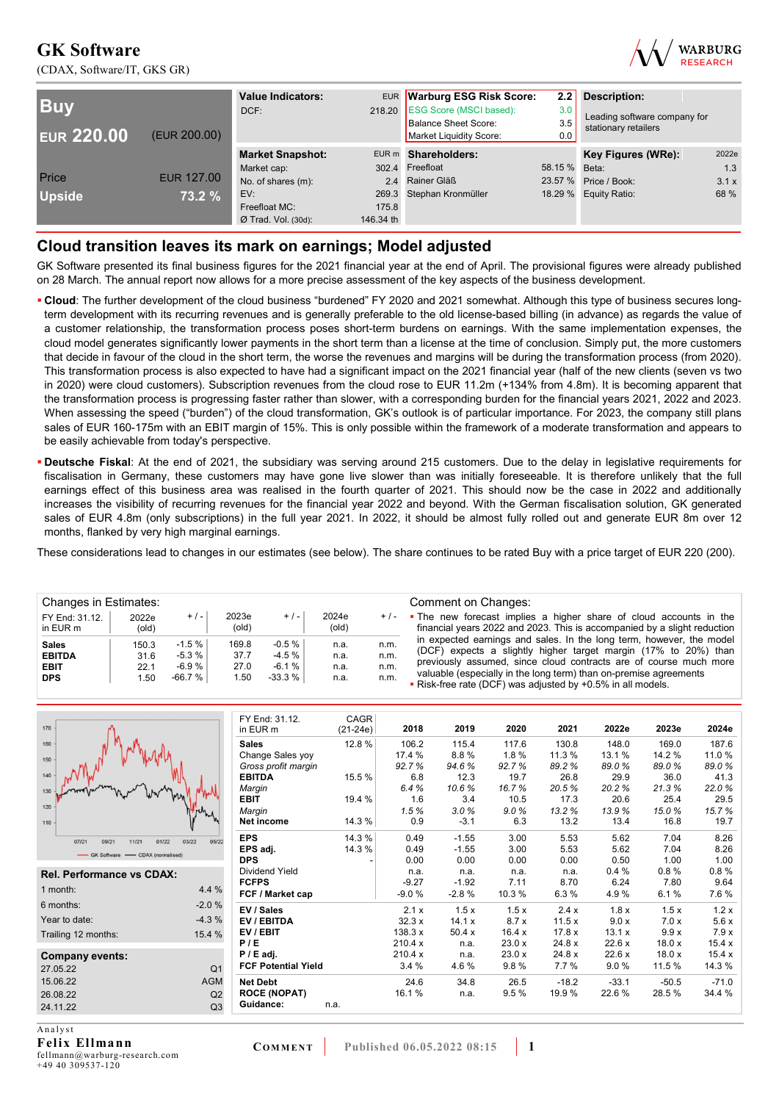(CDAX, Software/IT, GKS GR)



| <b>Buy</b><br><b>EUR 220.00</b> | (EUR 200.00)      | <b>Value Indicators:</b><br>DCF: | 218.20    | EUR Warburg ESG Risk Score:<br><b>ESG Score (MSCI based):</b><br>Balance Sheet Score:<br>Market Liquidity Score: | 2.2<br>3.0<br>3.5<br>0.0 | <b>Description:</b><br>Leading software company for<br>stationary retailers |       |
|---------------------------------|-------------------|----------------------------------|-----------|------------------------------------------------------------------------------------------------------------------|--------------------------|-----------------------------------------------------------------------------|-------|
|                                 |                   | <b>Market Snapshot:</b>          |           | EUR m Shareholders:                                                                                              |                          | Key Figures (WRe):                                                          | 2022e |
|                                 |                   | Market cap:                      |           | 302.4 Freefloat                                                                                                  | 58.15 % Beta:            |                                                                             | 1.3   |
| Price                           | <b>EUR 127.00</b> | No. of shares (m):               |           | 2.4 Rainer Gläß                                                                                                  | 23.57 %                  | Price / Book:                                                               | 3.1x  |
| <b>Upside</b>                   | 73.2 %            | EV:                              |           | 269.3 Stephan Kronmüller                                                                                         |                          | 18.29 % Equity Ratio:                                                       | 68 %  |
|                                 |                   | Freefloat MC:                    | 175.8     |                                                                                                                  |                          |                                                                             |       |
|                                 |                   | $Ø$ Trad. Vol. (30d):            | 146.34 th |                                                                                                                  |                          |                                                                             |       |

# **Cloud transition leaves its mark on earnings; Model adjusted**

GK Software presented its final business figures for the 2021 financial year at the end of April. The provisional figures were already published on 28 March. The annual report now allows for a more precise assessment of the key aspects of the business development.

- **Cloud**: The further development of the cloud business "burdened" FY 2020 and 2021 somewhat. Although this type of business secures longterm development with its recurring revenues and is generally preferable to the old license-based billing (in advance) as regards the value of a customer relationship, the transformation process poses short-term burdens on earnings. With the same implementation expenses, the cloud model generates significantly lower payments in the short term than a license at the time of conclusion. Simply put, the more customers that decide in favour of the cloud in the short term, the worse the revenues and margins will be during the transformation process (from 2020). This transformation process is also expected to have had a significant impact on the 2021 financial year (half of the new clients (seven vs two in 2020) were cloud customers). Subscription revenues from the cloud rose to EUR 11.2m (+134% from 4.8m). It is becoming apparent that the transformation process is progressing faster rather than slower, with a corresponding burden for the financial years 2021, 2022 and 2023. When assessing the speed ("burden") of the cloud transformation, GK's outlook is of particular importance. For 2023, the company still plans sales of EUR 160-175m with an EBIT margin of 15%. This is only possible within the framework of a moderate transformation and appears to be easily achievable from today's perspective.
- **Deutsche Fiskal**: At the end of 2021, the subsidiary was serving around 215 customers. Due to the delay in legislative requirements for fiscalisation in Germany, these customers may have gone live slower than was initially foreseeable. It is therefore unlikely that the full earnings effect of this business area was realised in the fourth quarter of 2021. This should now be the case in 2022 and additionally increases the visibility of recurring revenues for the financial year 2022 and beyond. With the German fiscalisation solution, GK generated sales of EUR 4.8m (only subscriptions) in the full year 2021. In 2022, it should be almost fully rolled out and generate EUR 8m over 12 months, flanked by very high marginal earnings.

These considerations lead to changes in our estimates (see below). The share continues to be rated Buy with a price target of EUR 220 (200).

| Changes in Estimates:                                      |                              |                                               |                               |                                                |                              |                              | Comment on Changes:                                                                                                                                                                                                                                                               |
|------------------------------------------------------------|------------------------------|-----------------------------------------------|-------------------------------|------------------------------------------------|------------------------------|------------------------------|-----------------------------------------------------------------------------------------------------------------------------------------------------------------------------------------------------------------------------------------------------------------------------------|
| FY End: 31.12.<br>in EUR m                                 | 2022e<br>$\text{(old)}$      | $+/-$                                         | 2023e<br>(old)                | $+$ / $-$                                      | 2024e<br>(old)               | $+/-$                        | • The new forecast implies a higher share of cloud accounts in the<br>financial years 2022 and 2023. This is accompanied by a slight reduction                                                                                                                                    |
| <b>Sales</b><br><b>EBITDA</b><br><b>EBIT</b><br><b>DPS</b> | 150.3<br>31.6<br>22.1<br>.50 | $-1.5 \%$<br>$-5.3 \%$<br>$-6.9%$<br>$-66.7%$ | 169.8<br>37.7<br>27.0<br>1.50 | $-0.5 \%$<br>$-4.5 \%$<br>$-6.1%$<br>$-33.3\%$ | n.a.<br>n.a.<br>n.a.<br>n.a. | n.m.<br>n.m.<br>n.m.<br>n.m. | in expected earnings and sales. In the long term, however, the model<br>(DCF) expects a slightly higher target margin (17% to 20%) than<br>previously assumed, since cloud contracts are of course much more<br>valuable (especially in the long term) than on-premise agreements |
|                                                            |                              |                                               |                               |                                                |                              |                              | . Risk-free rate (DCF) was adjusted by +0.5% in all models.                                                                                                                                                                                                                       |

| 170                               |                         | FY End: 31.12.<br>in EUR m | CAGR<br>$(21-24e)$ | 2018    | 2019    | 2020  | 2021    | 2022e   | 2023e   | 2024e   |
|-----------------------------------|-------------------------|----------------------------|--------------------|---------|---------|-------|---------|---------|---------|---------|
| 160                               |                         | <b>Sales</b>               | 12.8%              | 106.2   | 115.4   | 117.6 | 130.8   | 148.0   | 169.0   | 187.6   |
| 150                               |                         | Change Sales yoy           |                    | 17.4 %  | 8.8%    | 1.8%  | 11.3 %  | 13.1 %  | 14.2 %  | 11.0 %  |
|                                   |                         | Gross profit margin        |                    | 92.7%   | 94.6%   | 92.7% | 89.2%   | 89.0%   | 89.0%   | 89.0%   |
| 140                               |                         | <b>EBITDA</b>              | 15.5 %             | 6.8     | 12.3    | 19.7  | 26.8    | 29.9    | 36.0    | 41.3    |
| 130                               |                         | Margin                     |                    | 6.4%    | 10.6%   | 16.7% | 20.5%   | 20.2%   | 21.3%   | 22.0%   |
|                                   |                         | EBIT                       | 19.4 %             | 1.6     | 3.4     | 10.5  | 17.3    | 20.6    | 25.4    | 29.5    |
| 120                               |                         | Margin                     |                    | 1.5%    | 3.0%    | 9.0%  | 13.2%   | 13.9%   | 15.0%   | 15.7%   |
| 110                               |                         | Net income                 | 14.3%              | 0.9     | $-3.1$  | 6.3   | 13.2    | 13.4    | 16.8    | 19.7    |
| 07/21<br>09/21<br>11/21           | 01/22<br>03/22<br>05/22 | <b>EPS</b>                 | 14.3%              | 0.49    | $-1.55$ | 3.00  | 5.53    | 5.62    | 7.04    | 8.26    |
| - GK Software - CDAX (normalised) |                         | EPS adj.                   | 14.3 %             | 0.49    | $-1.55$ | 3.00  | 5.53    | 5.62    | 7.04    | 8.26    |
|                                   |                         | <b>DPS</b>                 |                    | 0.00    | 0.00    | 0.00  | 0.00    | 0.50    | 1.00    | 1.00    |
| Rel. Performance vs CDAX:         |                         | Dividend Yield             |                    | n.a.    | n.a.    | n.a.  | n.a.    | 0.4%    | 0.8%    | 0.8%    |
|                                   |                         | <b>FCFPS</b>               |                    | $-9.27$ | $-1.92$ | 7.11  | 8.70    | 6.24    | 7.80    | 9.64    |
| 1 month:                          | 4.4 %                   | FCF / Market cap           |                    | $-9.0%$ | $-2.8%$ | 10.3% | 6.3%    | 4.9%    | 6.1%    | 7.6%    |
| 6 months:                         | $-2.0%$                 | EV / Sales                 |                    | 2.1x    | 1.5x    | 1.5x  | 2.4x    | 1.8x    | 1.5x    | 1.2x    |
| Year to date:                     | $-4.3%$                 | EV / EBITDA                |                    | 32.3x   | 14.1 x  | 8.7x  | 11.5x   | 9.0 x   | 7.0x    | 5.6x    |
| Trailing 12 months:               | 15.4 %                  | EV/EBIT                    |                    | 138.3 x | 50.4x   | 16.4x | 17.8 x  | 13.1x   | 9.9x    | 7.9x    |
|                                   |                         | P/E                        |                    | 210.4 x | n.a.    | 23.0x | 24.8 x  | 22.6x   | 18.0 x  | 15.4x   |
| Company events:                   |                         | $P / E$ adj.               |                    | 210.4 x | n.a.    | 23.0x | 24.8 x  | 22.6x   | 18.0x   | 15.4x   |
| 27.05.22                          | Q <sub>1</sub>          | <b>FCF Potential Yield</b> |                    | 3.4%    | 4.6%    | 9.8%  | 7.7 %   | 9.0%    | 11.5 %  | 14.3 %  |
| 15.06.22                          | <b>AGM</b>              | <b>Net Debt</b>            |                    | 24.6    | 34.8    | 26.5  | $-18.2$ | $-33.1$ | $-50.5$ | $-71.0$ |
| 26.08.22                          | Q2                      | <b>ROCE (NOPAT)</b>        |                    | 16.1%   | n.a.    | 9.5%  | 19.9%   | 22.6%   | 28.5%   | 34.4 %  |
| 24.11.22                          | Q <sub>3</sub>          | Guidance:                  | n.a.               |         |         |       |         |         |         |         |
| $A = -1$                          |                         |                            |                    |         |         |       |         |         |         |         |

A n a l y s t **Felix Ellmann**  fellmann@warburg-research.com  $+49$  40 309537-120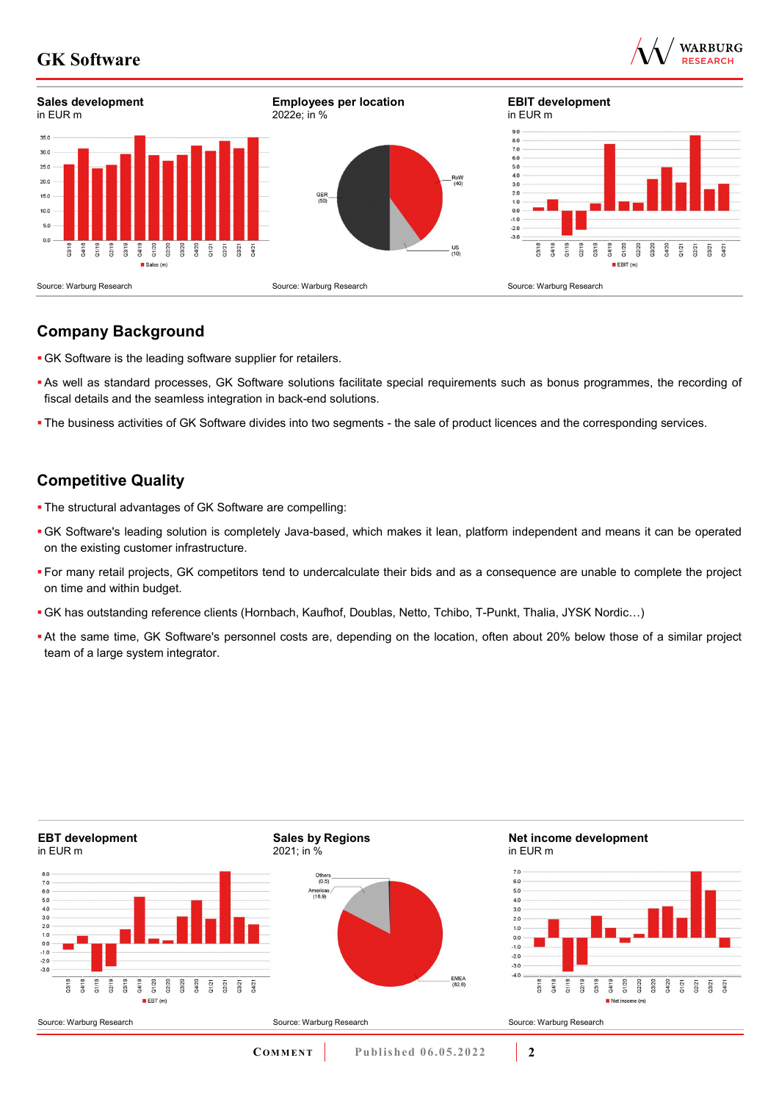



# **Company Background**

- GK Software is the leading software supplier for retailers.
- As well as standard processes, GK Software solutions facilitate special requirements such as bonus programmes, the recording of fiscal details and the seamless integration in back-end solutions.
- The business activities of GK Software divides into two segments the sale of product licences and the corresponding services.

# **Competitive Quality**

- The structural advantages of GK Software are compelling:
- GK Software's leading solution is completely Java-based, which makes it lean, platform independent and means it can be operated on the existing customer infrastructure.
- For many retail projects, GK competitors tend to undercalculate their bids and as a consequence are unable to complete the project on time and within budget.
- GK has outstanding reference clients (Hornbach, Kaufhof, Doublas, Netto, Tchibo, T-Punkt, Thalia, JYSK Nordic…)
- At the same time, GK Software's personnel costs are, depending on the location, often about 20% below those of a similar project team of a large system integrator.

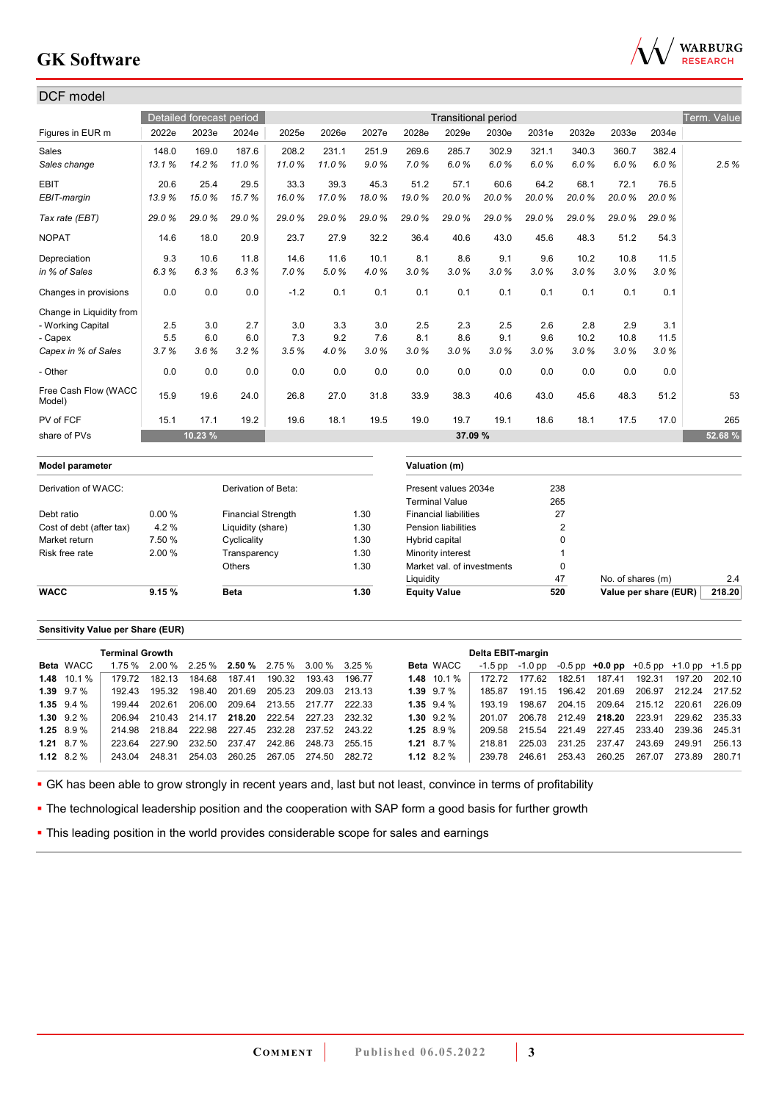

| DCF model                      |        |                          |                           |        |       |       |                     |                              |                            |       |                |                   |                       |             |
|--------------------------------|--------|--------------------------|---------------------------|--------|-------|-------|---------------------|------------------------------|----------------------------|-------|----------------|-------------------|-----------------------|-------------|
|                                |        | Detailed forecast period |                           |        |       |       |                     |                              | <b>Transitional period</b> |       |                |                   |                       | Term. Value |
| Figures in EUR m               | 2022e  | 2023e                    | 2024e                     | 2025e  | 2026e | 2027e | 2028e               | 2029e                        | 2030e                      | 2031e | 2032e          | 2033e             | 2034e                 |             |
| Sales                          | 148.0  | 169.0                    | 187.6                     | 208.2  | 231.1 | 251.9 | 269.6               | 285.7                        | 302.9                      | 321.1 | 340.3          | 360.7             | 382.4                 |             |
| Sales change                   | 13.1%  | 14.2%                    | 11.0%                     | 11.0%  | 11.0% | 9.0%  | 7.0%                | 6.0%                         | 6.0%                       | 6.0%  | 6.0%           | 6.0%              | 6.0%                  | 2.5%        |
| <b>EBIT</b>                    | 20.6   | 25.4                     | 29.5                      | 33.3   | 39.3  | 45.3  | 51.2                | 57.1                         | 60.6                       | 64.2  | 68.1           | 72.1              | 76.5                  |             |
| EBIT-margin                    | 13.9%  | 15.0%                    | 15.7%                     | 16.0%  | 17.0% | 18.0% | 19.0%               | 20.0%                        | 20.0%                      | 20.0% | 20.0%          | 20.0%             | 20.0%                 |             |
| Tax rate (EBT)                 | 29.0%  | 29.0%                    | 29.0%                     | 29.0%  | 29.0% | 29.0% | 29.0%               | 29.0%                        | 29.0%                      | 29.0% | 29.0%          | 29.0%             | 29.0%                 |             |
| <b>NOPAT</b>                   | 14.6   | 18.0                     | 20.9                      | 23.7   | 27.9  | 32.2  | 36.4                | 40.6                         | 43.0                       | 45.6  | 48.3           | 51.2              | 54.3                  |             |
| Depreciation                   | 9.3    | 10.6                     | 11.8                      | 14.6   | 11.6  | 10.1  | 8.1                 | 8.6                          | 9.1                        | 9.6   | 10.2           | 10.8              | 11.5                  |             |
| in % of Sales                  | 6.3%   | 6.3%                     | 6.3%                      | 7.0%   | 5.0%  | 4.0%  | 3.0%                | 3.0%                         | 3.0%                       | 3.0%  | 3.0%           | 3.0%              | 3.0%                  |             |
| Changes in provisions          | 0.0    | 0.0                      | 0.0                       | $-1.2$ | 0.1   | 0.1   | 0.1                 | 0.1                          | 0.1                        | 0.1   | 0.1            | 0.1               | 0.1                   |             |
| Change in Liquidity from       |        |                          |                           |        |       |       |                     |                              |                            |       |                |                   |                       |             |
| - Working Capital              | 2.5    | 3.0                      | 2.7                       | 3.0    | 3.3   | 3.0   | 2.5                 | 2.3                          | 2.5                        | 2.6   | 2.8            | 2.9               | 3.1                   |             |
| - Capex                        | 5.5    | 6.0                      | 6.0                       | 7.3    | 9.2   | 7.6   | 8.1                 | 8.6                          | 9.1                        | 9.6   | 10.2           | 10.8              | 11.5                  |             |
| Capex in % of Sales            | 3.7%   | 3.6%                     | 3.2%                      | 3.5%   | 4.0%  | 3.0%  | 3.0%                | 3.0%                         | 3.0%                       | 3.0%  | 3.0%           | 3.0%              | 3.0%                  |             |
| - Other                        | 0.0    | 0.0                      | 0.0                       | 0.0    | 0.0   | 0.0   | 0.0                 | 0.0                          | 0.0                        | 0.0   | 0.0            | 0.0               | 0.0                   |             |
| Free Cash Flow (WACC<br>Model) | 15.9   | 19.6                     | 24.0                      | 26.8   | 27.0  | 31.8  | 33.9                | 38.3                         | 40.6                       | 43.0  | 45.6           | 48.3              | 51.2                  | 53          |
| PV of FCF                      | 15.1   | 17.1                     | 19.2                      | 19.6   | 18.1  | 19.5  | 19.0                | 19.7                         | 19.1                       | 18.6  | 18.1           | 17.5              | 17.0                  | 265         |
| share of PVs                   |        | 10.23 %                  |                           |        |       |       |                     | 37.09 %                      |                            |       |                |                   |                       | 52.68%      |
| Model parameter                |        |                          |                           |        |       |       |                     | Valuation (m)                |                            |       |                |                   |                       |             |
| Derivation of WACC:            |        |                          | Derivation of Beta:       |        |       |       |                     | Present values 2034e         |                            | 238   |                |                   |                       |             |
|                                |        |                          |                           |        |       |       |                     | <b>Terminal Value</b>        |                            | 265   |                |                   |                       |             |
| Debt ratio                     | 0.00%  |                          | <b>Financial Strength</b> |        |       | 1.30  |                     | <b>Financial liabilities</b> |                            |       | 27             |                   |                       |             |
| Cost of debt (after tax)       | 4.2%   |                          | Liquidity (share)         |        |       | 1.30  |                     | <b>Pension liabilities</b>   |                            |       | $\overline{2}$ |                   |                       |             |
| Market return                  | 7.50 % |                          | Cyclicality               |        |       | 1.30  | Hybrid capital      |                              |                            |       | 0              |                   |                       |             |
| Risk free rate                 | 2.00 % |                          | Transparency              |        |       | 1.30  |                     | Minority interest            |                            |       | $\overline{1}$ |                   |                       |             |
|                                |        |                          | Others                    |        |       | 1.30  |                     | Market val. of investments   |                            |       | $\mathbf 0$    |                   |                       |             |
|                                |        |                          |                           |        |       |       | Liquidity           |                              |                            |       | 47             | No. of shares (m) |                       | 2.4         |
| <b>WACC</b>                    | 9.15%  |                          | <b>Beta</b>               |        |       | 1.30  | <b>Equity Value</b> |                              |                            |       | 520            |                   | Value per share (EUR) | 218.20      |

#### **Sensitivity Value per Share (EUR)**

|                | <b>Terminal Growth</b> |        |                                                    |        |                      |        |        |                   | Delta EBIT-margin |        |        |                                                                       |        |                      |        |
|----------------|------------------------|--------|----------------------------------------------------|--------|----------------------|--------|--------|-------------------|-------------------|--------|--------|-----------------------------------------------------------------------|--------|----------------------|--------|
| Beta WACC      |                        |        | $1.75\%$ 2.00 % 2.25 % 2.50 % 2.75 % 3.00 % 3.25 % |        |                      |        |        | <b>Beta WACC</b>  |                   |        |        | $-1.5$ pp $-1.0$ pp $-0.5$ pp $+0.0$ pp $+0.5$ pp $+1.0$ pp $+1.5$ pp |        |                      |        |
| 1.48 $10.1\%$  | 179.72                 | 182.13 | 184.68                                             | 187.41 | 190.32               | 193.43 | 196 77 | $1.48$ 10.1 %     | 172.72            | 177.62 | 182.51 | 187.41                                                                | 192.31 | 197.20               | 202.10 |
| $1.39$ $9.7\%$ | 192.43                 | 195.32 | 198.40                                             | 201.69 | 205.23 209.03        |        | 213.13 | $1.39$ $9.7\%$    | 185.87            | 191.15 |        | 196.42 201.69                                                         |        | 206.97 212.24 217.52 |        |
| $1.35$ $9.4%$  | 19944                  | 202.61 | 206.00                                             |        | 209.64 213.55 217.77 |        | 222.33 | $1.35$ $9.4%$     | 193 19            | 198 67 |        | 204.15 209.64 215.12 220.61                                           |        |                      | 226.09 |
| $1.30 \t9.2\%$ | 206.94                 |        | 210.43 214.17 218.20 222.54 227.23                 |        |                      |        | 232.32 | $1.30\quad 9.2\%$ | 201.07            | 206.78 |        | 212.49 218.20 223.91 229.62 235.33                                    |        |                      |        |
| 1.25 $8.9\%$   | 214.98                 |        | 218.84 222.98 227.45 232.28 237.52 243.22          |        |                      |        |        | $1.25$ 8.9%       | 209.58            |        |        | 215.54 221.49 227.45 233.40 239.36 245.31                             |        |                      |        |
| 1.21 8.7 $%$   | 223.64                 | 227.90 | 232.50                                             | 237.47 | 242.86               | 248.73 | 255 15 | 1.21 8.7 $%$      | 218.81            | 225.03 |        | 231.25 237.47                                                         | 243.69 | 249.91               | 256.13 |
| 1.12 $8.2\%$   | 243.04                 | 248.31 | 254.03                                             |        | 260.25 267.05        | 274.50 | 282.72 | 1.12 $8.2\%$      | 239.78            | 246.61 |        | 253.43 260.25 267.07                                                  |        | 273.89               | 280.71 |

GK has been able to grow strongly in recent years and, last but not least, convince in terms of profitability

• The technological leadership position and the cooperation with SAP form a good basis for further growth

**- This leading position in the world provides considerable scope for sales and earnings**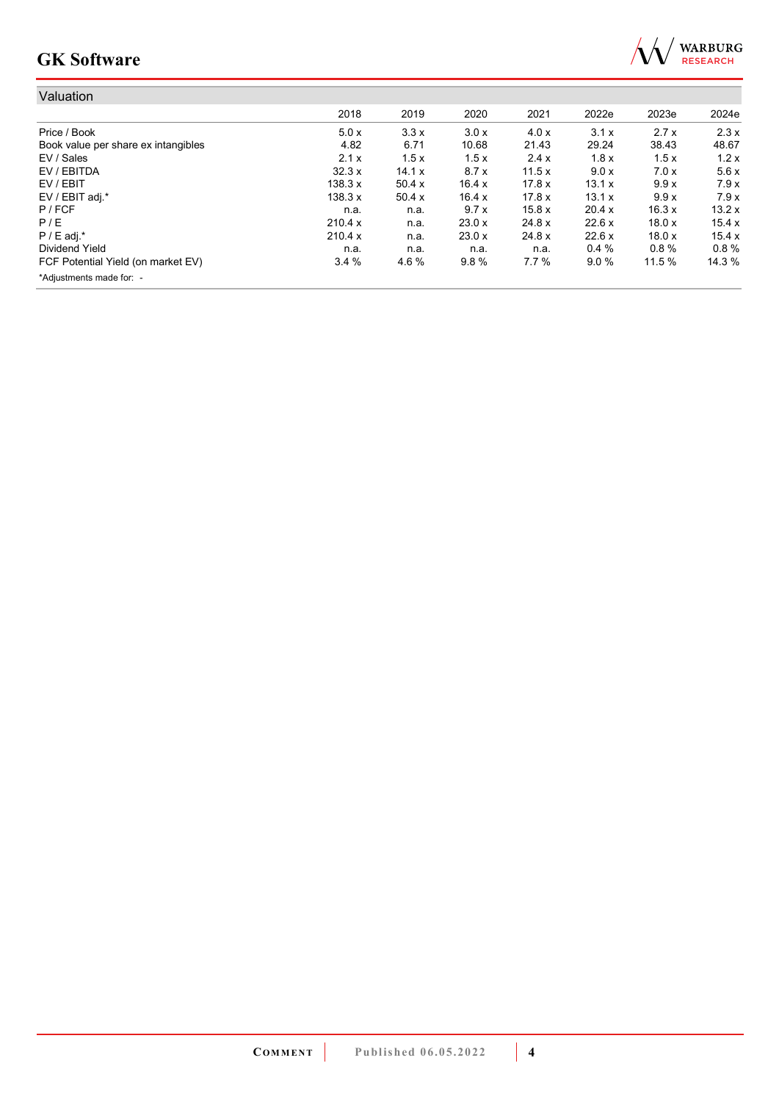

| Valuation                           |         |        |        |        |        |        |        |
|-------------------------------------|---------|--------|--------|--------|--------|--------|--------|
|                                     | 2018    | 2019   | 2020   | 2021   | 2022e  | 2023e  | 2024e  |
| Price / Book                        | 5.0x    | 3.3x   | 3.0x   | 4.0 x  | 3.1x   | 2.7x   | 2.3x   |
| Book value per share ex intangibles | 4.82    | 6.71   | 10.68  | 21.43  | 29.24  | 38.43  | 48.67  |
| EV / Sales                          | 2.1x    | 1.5x   | 1.5x   | 2.4x   | 1.8x   | 1.5x   | 1.2x   |
| EV / EBITDA                         | 32.3x   | 14.1 x | 8.7x   | 11.5x  | 9.0 x  | 7.0x   | 5.6x   |
| EV / EBIT                           | 138.3 x | 50.4 x | 16.4x  | 17.8x  | 13.1 x | 9.9x   | 7.9x   |
| EV / EBIT adj.*                     | 138.3 x | 50.4x  | 16.4x  | 17.8 x | 13.1 x | 9.9x   | 7.9x   |
| P / FCF                             | n.a.    | n.a.   | 9.7x   | 15.8x  | 20.4 x | 16.3x  | 13.2x  |
| P/E                                 | 210.4 x | n.a.   | 23.0x  | 24.8 x | 22.6x  | 18.0x  | 15.4x  |
| $P / E$ adj.*                       | 210.4 x | n.a.   | 23.0 x | 24.8 x | 22.6 x | 18.0x  | 15.4x  |
| Dividend Yield                      | n.a.    | n.a.   | n.a.   | n.a.   | 0.4%   | 0.8%   | 0.8%   |
| FCF Potential Yield (on market EV)  | 3.4%    | 4.6%   | 9.8%   | 7.7%   | 9.0%   | 11.5 % | 14.3 % |
| *Adjustments made for: -            |         |        |        |        |        |        |        |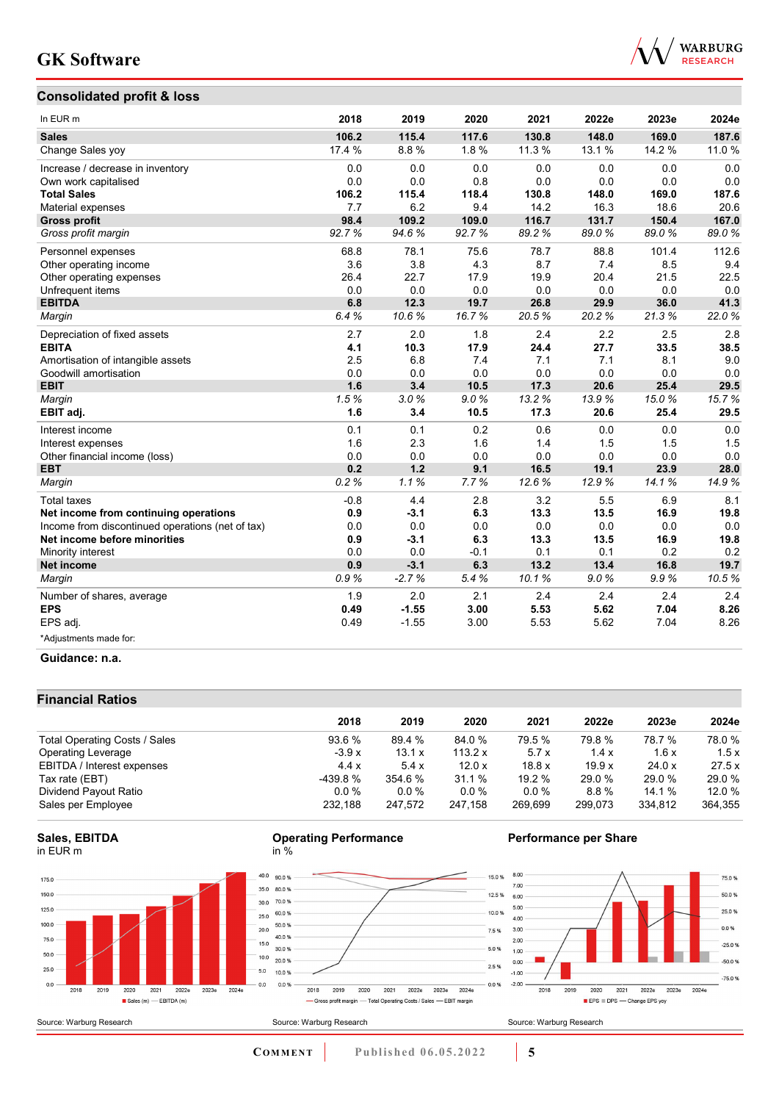## **Consolidated profit & loss**



| In EUR m                                         | 2018   | 2019    | 2020   | 2021   | 2022e  | 2023e  | 2024e |
|--------------------------------------------------|--------|---------|--------|--------|--------|--------|-------|
| <b>Sales</b>                                     | 106.2  | 115.4   | 117.6  | 130.8  | 148.0  | 169.0  | 187.6 |
| Change Sales yoy                                 | 17.4 % | 8.8%    | 1.8%   | 11.3 % | 13.1 % | 14.2 % | 11.0% |
| Increase / decrease in inventory                 | 0.0    | 0.0     | 0.0    | 0.0    | 0.0    | 0.0    | 0.0   |
| Own work capitalised                             | 0.0    | 0.0     | 0.8    | 0.0    | 0.0    | 0.0    | 0.0   |
| <b>Total Sales</b>                               | 106.2  | 115.4   | 118.4  | 130.8  | 148.0  | 169.0  | 187.6 |
| Material expenses                                | 7.7    | 6.2     | 9.4    | 14.2   | 16.3   | 18.6   | 20.6  |
| <b>Gross profit</b>                              | 98.4   | 109.2   | 109.0  | 116.7  | 131.7  | 150.4  | 167.0 |
| Gross profit margin                              | 92.7%  | 94.6%   | 92.7%  | 89.2%  | 89.0%  | 89.0%  | 89.0% |
| Personnel expenses                               | 68.8   | 78.1    | 75.6   | 78.7   | 88.8   | 101.4  | 112.6 |
| Other operating income                           | 3.6    | 3.8     | 4.3    | 8.7    | 7.4    | 8.5    | 9.4   |
| Other operating expenses                         | 26.4   | 22.7    | 17.9   | 19.9   | 20.4   | 21.5   | 22.5  |
| Unfrequent items                                 | 0.0    | 0.0     | 0.0    | 0.0    | 0.0    | 0.0    | 0.0   |
| <b>EBITDA</b>                                    | 6.8    | 12.3    | 19.7   | 26.8   | 29.9   | 36.0   | 41.3  |
| Margin                                           | 6.4%   | 10.6%   | 16.7%  | 20.5%  | 20.2%  | 21.3%  | 22.0% |
| Depreciation of fixed assets                     | 2.7    | 2.0     | 1.8    | 2.4    | 2.2    | 2.5    | 2.8   |
| <b>EBITA</b>                                     | 4.1    | 10.3    | 17.9   | 24.4   | 27.7   | 33.5   | 38.5  |
| Amortisation of intangible assets                | 2.5    | 6.8     | 7.4    | 7.1    | 7.1    | 8.1    | 9.0   |
| Goodwill amortisation                            | 0.0    | 0.0     | 0.0    | 0.0    | 0.0    | 0.0    | 0.0   |
| <b>EBIT</b>                                      | 1.6    | 3.4     | 10.5   | 17.3   | 20.6   | 25.4   | 29.5  |
| Margin                                           | 1.5%   | 3.0%    | 9.0%   | 13.2%  | 13.9%  | 15.0%  | 15.7% |
| EBIT adj.                                        | 1.6    | 3.4     | 10.5   | 17.3   | 20.6   | 25.4   | 29.5  |
| Interest income                                  | 0.1    | 0.1     | 0.2    | 0.6    | 0.0    | 0.0    | 0.0   |
| Interest expenses                                | 1.6    | 2.3     | 1.6    | 1.4    | 1.5    | 1.5    | 1.5   |
| Other financial income (loss)                    | 0.0    | 0.0     | 0.0    | 0.0    | 0.0    | 0.0    | 0.0   |
| <b>EBT</b>                                       | 0.2    | 1.2     | 9.1    | 16.5   | 19.1   | 23.9   | 28.0  |
| Margin                                           | 0.2%   | 1.1%    | 7.7%   | 12.6%  | 12.9%  | 14.1%  | 14.9% |
| <b>Total taxes</b>                               | $-0.8$ | 4.4     | 2.8    | 3.2    | 5.5    | 6.9    | 8.1   |
| Net income from continuing operations            | 0.9    | $-3.1$  | 6.3    | 13.3   | 13.5   | 16.9   | 19.8  |
| Income from discontinued operations (net of tax) | 0.0    | 0.0     | 0.0    | 0.0    | 0.0    | 0.0    | 0.0   |
| Net income before minorities                     | 0.9    | $-3.1$  | 6.3    | 13.3   | 13.5   | 16.9   | 19.8  |
| Minority interest                                | 0.0    | 0.0     | $-0.1$ | 0.1    | 0.1    | 0.2    | 0.2   |
| <b>Net income</b>                                | 0.9    | $-3.1$  | 6.3    | 13.2   | 13.4   | 16.8   | 19.7  |
| Margin                                           | 0.9%   | $-2.7%$ | 5.4%   | 10.1%  | 9.0%   | 9.9%   | 10.5% |
| Number of shares, average                        | 1.9    | 2.0     | 2.1    | 2.4    | 2.4    | 2.4    | 2.4   |
| <b>EPS</b>                                       | 0.49   | $-1.55$ | 3.00   | 5.53   | 5.62   | 7.04   | 8.26  |
| EPS adj.                                         | 0.49   | $-1.55$ | 3.00   | 5.53   | 5.62   | 7.04   | 8.26  |
| *Adjustments made for:                           |        |         |        |        |        |        |       |

### **Guidance: n.a.**

## **Financial Ratios**

|                               | 2018     | 2019     | 2020      | 2021    | 2022e   | 2023e   | 2024e   |
|-------------------------------|----------|----------|-----------|---------|---------|---------|---------|
| Total Operating Costs / Sales | 93.6 %   | 89.4 %   | 84.0 %    | 79.5 %  | 79.8 %  | 78.7 %  | 78.0 %  |
| <b>Operating Leverage</b>     | $-3.9x$  | 13.1 x   | 113.2 $x$ | 5.7x    | 1.4x    | 1.6x    | 1.5x    |
| EBITDA / Interest expenses    | 4.4x     | 5.4x     | 12.0x     | 18.8x   | 19.9x   | 24.0 x  | 27.5x   |
| Tax rate (EBT)                | -439.8 % | 354.6%   | 31.1 %    | 19.2%   | 29.0 %  | 29.0 %  | 29.0 %  |
| Dividend Payout Ratio         | $0.0\%$  | $0.0 \%$ | $0.0\%$   | $0.0\%$ | 8.8%    | 14.1 %  | 12.0 %  |
| Sales per Employee            | 232.188  | 247.572  | 247.158   | 269.699 | 299.073 | 334,812 | 364,355 |

### **Sales, EBITDA** in EUR m







## **Performance per Share**

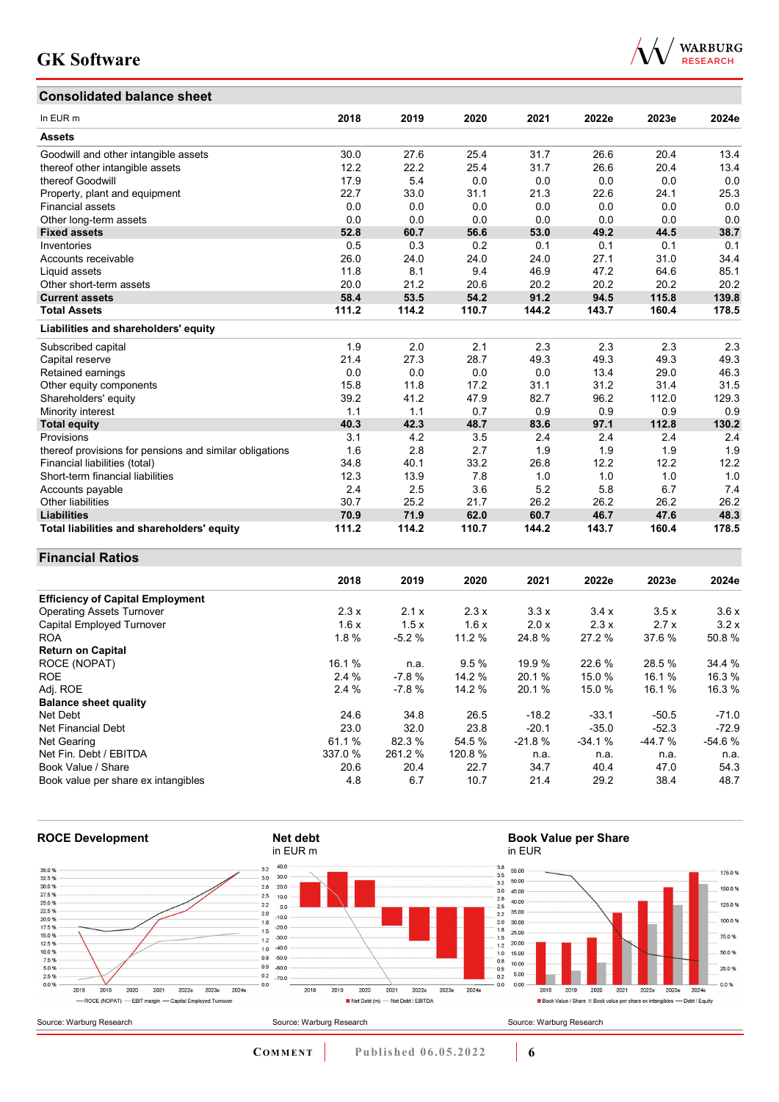# **Consolidated balance sheet**



| Consondated Dalance Sheet                               |       |       |       |       |       |       |       |
|---------------------------------------------------------|-------|-------|-------|-------|-------|-------|-------|
| In EUR <sub>m</sub>                                     | 2018  | 2019  | 2020  | 2021  | 2022e | 2023e | 2024e |
| <b>Assets</b>                                           |       |       |       |       |       |       |       |
| Goodwill and other intangible assets                    | 30.0  | 27.6  | 25.4  | 31.7  | 26.6  | 20.4  | 13.4  |
| thereof other intangible assets                         | 12.2  | 22.2  | 25.4  | 31.7  | 26.6  | 20.4  | 13.4  |
| thereof Goodwill                                        | 17.9  | 5.4   | 0.0   | 0.0   | 0.0   | 0.0   | 0.0   |
| Property, plant and equipment                           | 22.7  | 33.0  | 31.1  | 21.3  | 22.6  | 24.1  | 25.3  |
| <b>Financial assets</b>                                 | 0.0   | 0.0   | 0.0   | 0.0   | 0.0   | 0.0   | 0.0   |
| Other long-term assets                                  | 0.0   | 0.0   | 0.0   | 0.0   | 0.0   | 0.0   | 0.0   |
| <b>Fixed assets</b>                                     | 52.8  | 60.7  | 56.6  | 53.0  | 49.2  | 44.5  | 38.7  |
| Inventories                                             | 0.5   | 0.3   | 0.2   | 0.1   | 0.1   | 0.1   | 0.1   |
| Accounts receivable                                     | 26.0  | 24.0  | 24.0  | 24.0  | 27.1  | 31.0  | 34.4  |
| Liquid assets                                           | 11.8  | 8.1   | 9.4   | 46.9  | 47.2  | 64.6  | 85.1  |
| Other short-term assets                                 | 20.0  | 21.2  | 20.6  | 20.2  | 20.2  | 20.2  | 20.2  |
| <b>Current assets</b>                                   | 58.4  | 53.5  | 54.2  | 91.2  | 94.5  | 115.8 | 139.8 |
| <b>Total Assets</b>                                     | 111.2 | 114.2 | 110.7 | 144.2 | 143.7 | 160.4 | 178.5 |
| Liabilities and shareholders' equity                    |       |       |       |       |       |       |       |
| Subscribed capital                                      | 1.9   | 2.0   | 2.1   | 2.3   | 2.3   | 2.3   | 2.3   |
| Capital reserve                                         | 21.4  | 27.3  | 28.7  | 49.3  | 49.3  | 49.3  | 49.3  |
| Retained earnings                                       | 0.0   | 0.0   | 0.0   | 0.0   | 13.4  | 29.0  | 46.3  |
| Other equity components                                 | 15.8  | 11.8  | 17.2  | 31.1  | 31.2  | 31.4  | 31.5  |
| Shareholders' equity                                    | 39.2  | 41.2  | 47.9  | 82.7  | 96.2  | 112.0 | 129.3 |
| Minority interest                                       | 1.1   | 1.1   | 0.7   | 0.9   | 0.9   | 0.9   | 0.9   |
| <b>Total equity</b>                                     | 40.3  | 42.3  | 48.7  | 83.6  | 97.1  | 112.8 | 130.2 |
| Provisions                                              | 3.1   | 4.2   | 3.5   | 2.4   | 2.4   | 2.4   | 2.4   |
| thereof provisions for pensions and similar obligations | 1.6   | 2.8   | 2.7   | 1.9   | 1.9   | 1.9   | 1.9   |
| Financial liabilities (total)                           | 34.8  | 40.1  | 33.2  | 26.8  | 12.2  | 12.2  | 12.2  |
| Short-term financial liabilities                        | 12.3  | 13.9  | 7.8   | 1.0   | 1.0   | 1.0   | 1.0   |
| Accounts payable                                        | 2.4   | 2.5   | 3.6   | 5.2   | 5.8   | 6.7   | 7.4   |
| <b>Other liabilities</b>                                | 30.7  | 25.2  | 21.7  | 26.2  | 26.2  | 26.2  | 26.2  |
| <b>Liabilities</b>                                      | 70.9  | 71.9  | 62.0  | 60.7  | 46.7  | 47.6  | 48.3  |
| Total liabilities and shareholders' equity              | 111.2 | 114.2 | 110.7 | 144.2 | 143.7 | 160.4 | 178.5 |

### **Financial Ratios**

|                                         | 2018    | 2019    | 2020    | 2021     | 2022e    | 2023e    | 2024e    |
|-----------------------------------------|---------|---------|---------|----------|----------|----------|----------|
| <b>Efficiency of Capital Employment</b> |         |         |         |          |          |          |          |
| <b>Operating Assets Turnover</b>        | 2.3x    | 2.1x    | 2.3x    | 3.3x     | 3.4x     | 3.5x     | 3.6x     |
| Capital Employed Turnover               | 1.6x    | 1.5x    | 1.6x    | 2.0 x    | 2.3x     | 2.7x     | 3.2x     |
| <b>ROA</b>                              | 1.8%    | $-5.2%$ | 11.2 %  | 24.8 %   | 27.2 %   | 37.6 %   | 50.8%    |
| <b>Return on Capital</b>                |         |         |         |          |          |          |          |
| ROCE (NOPAT)                            | 16.1 %  | n.a.    | 9.5%    | 19.9 %   | 22.6 %   | 28.5 %   | 34.4 %   |
| <b>ROE</b>                              | 2.4%    | $-7.8%$ | 14.2%   | 20.1 %   | 15.0 %   | 16.1 %   | 16.3 %   |
| Adj. ROE                                | 2.4%    | $-7.8%$ | 14.2 %  | 20.1 %   | 15.0 %   | 16.1%    | 16.3 %   |
| <b>Balance sheet quality</b>            |         |         |         |          |          |          |          |
| Net Debt                                | 24.6    | 34.8    | 26.5    | $-18.2$  | $-33.1$  | $-50.5$  | $-71.0$  |
| Net Financial Debt                      | 23.0    | 32.0    | 23.8    | $-20.1$  | $-35.0$  | $-52.3$  | $-72.9$  |
| Net Gearing                             | 61.1 %  | 82.3 %  | 54.5 %  | $-21.8%$ | $-34.1%$ | $-44.7%$ | $-54.6%$ |
| Net Fin. Debt / EBITDA                  | 337.0 % | 261.2 % | 120.8 % | n.a.     | n.a.     | n.a.     | n.a.     |
| Book Value / Share                      | 20.6    | 20.4    | 22.7    | 34.7     | 40.4     | 47.0     | 54.3     |
| Book value per share ex intangibles     | 4.8     | 6.7     | 10.7    | 21.4     | 29.2     | 38.4     | 48.7     |



**COMMENT** Published 06.05.2022 **6**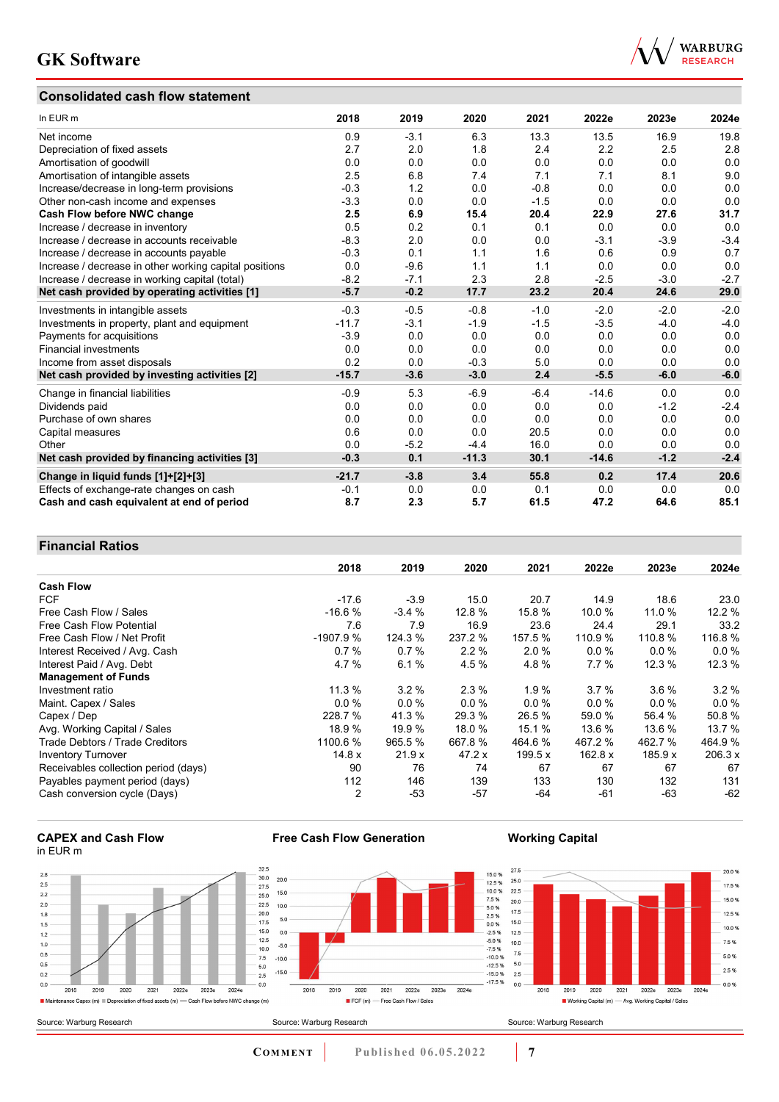## **Consolidated cash flow statement**



| In EUR m                                               | 2018    | 2019   | 2020    | 2021   | 2022e   | 2023e  | 2024e  |
|--------------------------------------------------------|---------|--------|---------|--------|---------|--------|--------|
| Net income                                             | 0.9     | $-3.1$ | 6.3     | 13.3   | 13.5    | 16.9   | 19.8   |
| Depreciation of fixed assets                           | 2.7     | 2.0    | 1.8     | 2.4    | 2.2     | 2.5    | 2.8    |
| Amortisation of goodwill                               | 0.0     | 0.0    | 0.0     | 0.0    | 0.0     | 0.0    | 0.0    |
| Amortisation of intangible assets                      | 2.5     | 6.8    | 7.4     | 7.1    | 7.1     | 8.1    | 9.0    |
| Increase/decrease in long-term provisions              | $-0.3$  | 1.2    | 0.0     | $-0.8$ | 0.0     | 0.0    | 0.0    |
| Other non-cash income and expenses                     | $-3.3$  | 0.0    | 0.0     | $-1.5$ | 0.0     | 0.0    | 0.0    |
| Cash Flow before NWC change                            | 2.5     | 6.9    | 15.4    | 20.4   | 22.9    | 27.6   | 31.7   |
| Increase / decrease in inventory                       | 0.5     | 0.2    | 0.1     | 0.1    | 0.0     | 0.0    | 0.0    |
| Increase / decrease in accounts receivable             | $-8.3$  | 2.0    | 0.0     | 0.0    | $-3.1$  | $-3.9$ | $-3.4$ |
| Increase / decrease in accounts payable                | $-0.3$  | 0.1    | 1.1     | 1.6    | 0.6     | 0.9    | 0.7    |
| Increase / decrease in other working capital positions | 0.0     | $-9.6$ | 1.1     | 1.1    | 0.0     | 0.0    | 0.0    |
| Increase / decrease in working capital (total)         | $-8.2$  | $-7.1$ | 2.3     | 2.8    | $-2.5$  | $-3.0$ | $-2.7$ |
| Net cash provided by operating activities [1]          | $-5.7$  | $-0.2$ | 17.7    | 23.2   | 20.4    | 24.6   | 29.0   |
| Investments in intangible assets                       | $-0.3$  | $-0.5$ | $-0.8$  | $-1.0$ | $-2.0$  | $-2.0$ | $-2.0$ |
| Investments in property, plant and equipment           | $-11.7$ | $-3.1$ | $-1.9$  | $-1.5$ | $-3.5$  | $-4.0$ | $-4.0$ |
| Payments for acquisitions                              | $-3.9$  | 0.0    | 0.0     | 0.0    | 0.0     | 0.0    | 0.0    |
| <b>Financial investments</b>                           | 0.0     | 0.0    | 0.0     | 0.0    | 0.0     | 0.0    | 0.0    |
| Income from asset disposals                            | 0.2     | 0.0    | $-0.3$  | 5.0    | 0.0     | 0.0    | 0.0    |
| Net cash provided by investing activities [2]          | $-15.7$ | $-3.6$ | $-3.0$  | 2.4    | $-5.5$  | $-6.0$ | $-6.0$ |
| Change in financial liabilities                        | $-0.9$  | 5.3    | $-6.9$  | $-6.4$ | $-14.6$ | 0.0    | 0.0    |
| Dividends paid                                         | 0.0     | 0.0    | 0.0     | 0.0    | 0.0     | $-1.2$ | $-2.4$ |
| Purchase of own shares                                 | 0.0     | 0.0    | 0.0     | 0.0    | 0.0     | 0.0    | 0.0    |
| Capital measures                                       | 0.6     | 0.0    | 0.0     | 20.5   | 0.0     | 0.0    | 0.0    |
| Other                                                  | 0.0     | $-5.2$ | $-4.4$  | 16.0   | 0.0     | 0.0    | 0.0    |
| Net cash provided by financing activities [3]          | $-0.3$  | 0.1    | $-11.3$ | 30.1   | $-14.6$ | $-1.2$ | $-2.4$ |
| Change in liquid funds [1]+[2]+[3]                     | $-21.7$ | $-3.8$ | 3.4     | 55.8   | 0.2     | 17.4   | 20.6   |
| Effects of exchange-rate changes on cash               | $-0.1$  | 0.0    | 0.0     | 0.1    | 0.0     | 0.0    | 0.0    |
| Cash and cash equivalent at end of period              | 8.7     | 2.3    | 5.7     | 61.5   | 47.2    | 64.6   | 85.1   |

## **Financial Ratios**

|                                      | 2018           | 2019    | 2020    | 2021     | 2022e     | 2023e   | 2024e   |
|--------------------------------------|----------------|---------|---------|----------|-----------|---------|---------|
| <b>Cash Flow</b>                     |                |         |         |          |           |         |         |
| <b>FCF</b>                           | $-17.6$        | $-3.9$  | 15.0    | 20.7     | 14.9      | 18.6    | 23.0    |
| Free Cash Flow / Sales               | $-16.6%$       | $-3.4%$ | 12.8 %  | 15.8 %   | 10.0%     | 11.0 %  | 12.2%   |
| Free Cash Flow Potential             | 7.6            | 7.9     | 16.9    | 23.6     | 24.4      | 29.1    | 33.2    |
| Free Cash Flow / Net Profit          | $-1907.9%$     | 124.3 % | 237.2 % | 157.5 %  | 110.9 %   | 110.8 % | 116.8%  |
| Interest Received / Avg. Cash        | 0.7%           | 0.7%    | 2.2%    | 2.0%     | $0.0\%$   | $0.0\%$ | 0.0%    |
| Interest Paid / Avg. Debt            | 4.7%           | 6.1%    | 4.5 %   | 4.8%     | 7.7%      | 12.3 %  | 12.3 %  |
| <b>Management of Funds</b>           |                |         |         |          |           |         |         |
| Investment ratio                     | 11.3%          | 3.2%    | 2.3%    | 1.9%     | 3.7%      | $3.6\%$ | $3.2\%$ |
| Maint. Capex / Sales                 | 0.0%           | 0.0%    | $0.0\%$ | $0.0 \%$ | $0.0\%$   | $0.0\%$ | 0.0%    |
| Capex / Dep                          | 228.7 %        | 41.3 %  | 29.3 %  | 26.5 %   | 59.0 %    | 56.4 %  | 50.8%   |
| Avg. Working Capital / Sales         | 18.9 %         | 19.9%   | 18.0%   | 15.1 %   | 13.6 %    | 13.6 %  | 13.7 %  |
| Trade Debtors / Trade Creditors      | 1100.6 %       | 965.5 % | 667.8 % | 464.6 %  | 467.2 %   | 462.7 % | 464.9%  |
| <b>Inventory Turnover</b>            | 14.8 x         | 21.9x   | 47.2 x  | 199.5 x  | 162.8 $x$ | 185.9 x | 206.3 x |
| Receivables collection period (days) | 90             | 76      | 74      | 67       | 67        | 67      | 67      |
| Payables payment period (days)       | 112            | 146     | 139     | 133      | 130       | 132     | 131     |
| Cash conversion cycle (Days)         | $\overline{2}$ | $-53$   | $-57$   | -64      | $-61$     | -63     | $-62$   |



 $2.8$ 

 $2.5$ 

 $\frac{1}{2.2}$ 

 $\overline{2.0}$ 

 $1.8$ 

 $1.5$ 

 $1.2$ 

 $1.0$ 

 $0.8$ 

 $0.5$ 

 $0.2$ 

 $0.0$ 

Source: Warburg Research



Source: Warburg Research

**Free Cash Flow Generation**

## **Working Capital**





**COMMENT** Published 06.05.2022 7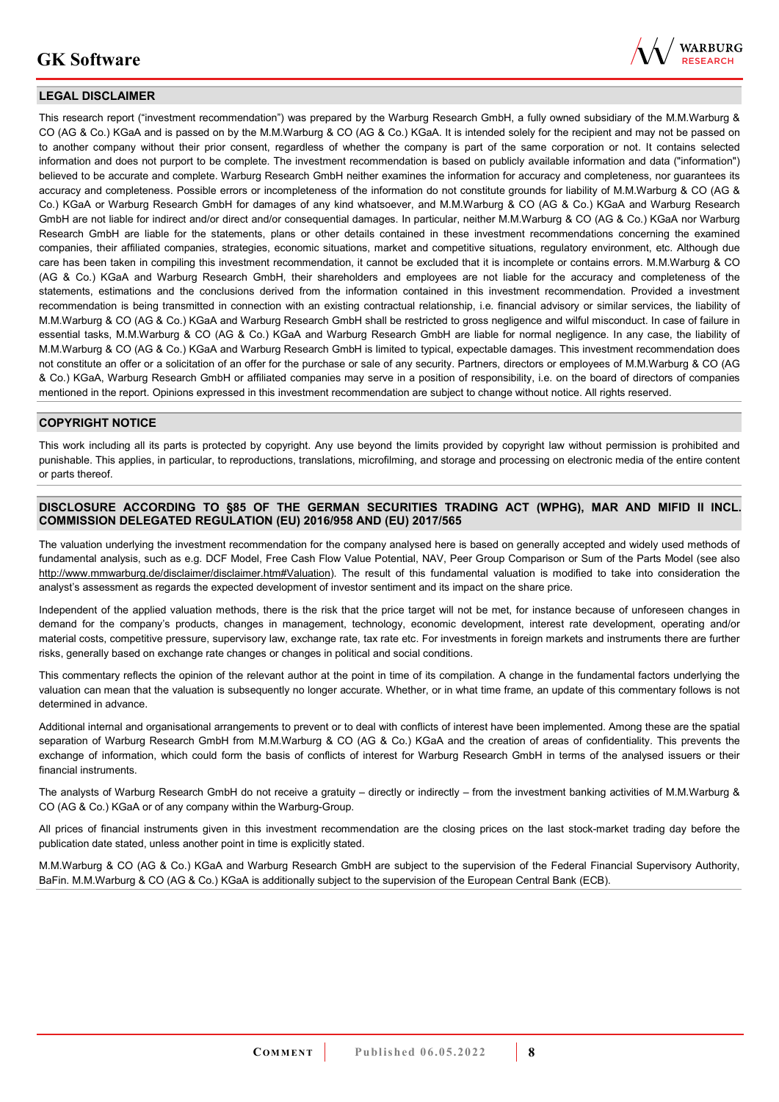

### **LEGAL DISCLAIMER**

This research report ("investment recommendation") was prepared by the Warburg Research GmbH, a fully owned subsidiary of the M.M.Warburg & CO (AG & Co.) KGaA and is passed on by the M.M.Warburg & CO (AG & Co.) KGaA. It is intended solely for the recipient and may not be passed on to another company without their prior consent, regardless of whether the company is part of the same corporation or not. It contains selected information and does not purport to be complete. The investment recommendation is based on publicly available information and data ("information") believed to be accurate and complete. Warburg Research GmbH neither examines the information for accuracy and completeness, nor guarantees its accuracy and completeness. Possible errors or incompleteness of the information do not constitute grounds for liability of M.M.Warburg & CO (AG & Co.) KGaA or Warburg Research GmbH for damages of any kind whatsoever, and M.M.Warburg & CO (AG & Co.) KGaA and Warburg Research GmbH are not liable for indirect and/or direct and/or consequential damages. In particular, neither M.M.Warburg & CO (AG & Co.) KGaA nor Warburg Research GmbH are liable for the statements, plans or other details contained in these investment recommendations concerning the examined companies, their affiliated companies, strategies, economic situations, market and competitive situations, regulatory environment, etc. Although due care has been taken in compiling this investment recommendation, it cannot be excluded that it is incomplete or contains errors. M.M.Warburg & CO (AG & Co.) KGaA and Warburg Research GmbH, their shareholders and employees are not liable for the accuracy and completeness of the statements, estimations and the conclusions derived from the information contained in this investment recommendation. Provided a investment recommendation is being transmitted in connection with an existing contractual relationship, i.e. financial advisory or similar services, the liability of M.M.Warburg & CO (AG & Co.) KGaA and Warburg Research GmbH shall be restricted to gross negligence and wilful misconduct. In case of failure in essential tasks, M.M.Warburg & CO (AG & Co.) KGaA and Warburg Research GmbH are liable for normal negligence. In any case, the liability of M.M.Warburg & CO (AG & Co.) KGaA and Warburg Research GmbH is limited to typical, expectable damages. This investment recommendation does not constitute an offer or a solicitation of an offer for the purchase or sale of any security. Partners, directors or employees of M.M.Warburg & CO (AG & Co.) KGaA, Warburg Research GmbH or affiliated companies may serve in a position of responsibility, i.e. on the board of directors of companies mentioned in the report. Opinions expressed in this investment recommendation are subject to change without notice. All rights reserved.

### **COPYRIGHT NOTICE**

This work including all its parts is protected by copyright. Any use beyond the limits provided by copyright law without permission is prohibited and punishable. This applies, in particular, to reproductions, translations, microfilming, and storage and processing on electronic media of the entire content or parts thereof.

### **DISCLOSURE ACCORDING TO §85 OF THE GERMAN SECURITIES TRADING ACT (WPHG), MAR AND MIFID II INCL. COMMISSION DELEGATED REGULATION (EU) 2016/958 AND (EU) 2017/565**

The valuation underlying the investment recommendation for the company analysed here is based on generally accepted and widely used methods of fundamental analysis, such as e.g. DCF Model, Free Cash Flow Value Potential, NAV, Peer Group Comparison or Sum of the Parts Model (see also [http://www.mmwarburg.de/disclaimer/disclaimer.htm#Valuation\)](http://www.mmwarburg.de/disclaimer/disclaimer.htm#Valuation). The result of this fundamental valuation is modified to take into consideration the analyst's assessment as regards the expected development of investor sentiment and its impact on the share price.

Independent of the applied valuation methods, there is the risk that the price target will not be met, for instance because of unforeseen changes in demand for the company's products, changes in management, technology, economic development, interest rate development, operating and/or material costs, competitive pressure, supervisory law, exchange rate, tax rate etc. For investments in foreign markets and instruments there are further risks, generally based on exchange rate changes or changes in political and social conditions.

This commentary reflects the opinion of the relevant author at the point in time of its compilation. A change in the fundamental factors underlying the valuation can mean that the valuation is subsequently no longer accurate. Whether, or in what time frame, an update of this commentary follows is not determined in advance.

Additional internal and organisational arrangements to prevent or to deal with conflicts of interest have been implemented. Among these are the spatial separation of Warburg Research GmbH from M.M.Warburg & CO (AG & Co.) KGaA and the creation of areas of confidentiality. This prevents the exchange of information, which could form the basis of conflicts of interest for Warburg Research GmbH in terms of the analysed issuers or their financial instruments.

The analysts of Warburg Research GmbH do not receive a gratuity – directly or indirectly – from the investment banking activities of M.M.Warburg & CO (AG & Co.) KGaA or of any company within the Warburg-Group.

All prices of financial instruments given in this investment recommendation are the closing prices on the last stock-market trading day before the publication date stated, unless another point in time is explicitly stated.

M.M.Warburg & CO (AG & Co.) KGaA and Warburg Research GmbH are subject to the supervision of the Federal Financial Supervisory Authority, BaFin. M.M.Warburg & CO (AG & Co.) KGaA is additionally subject to the supervision of the European Central Bank (ECB).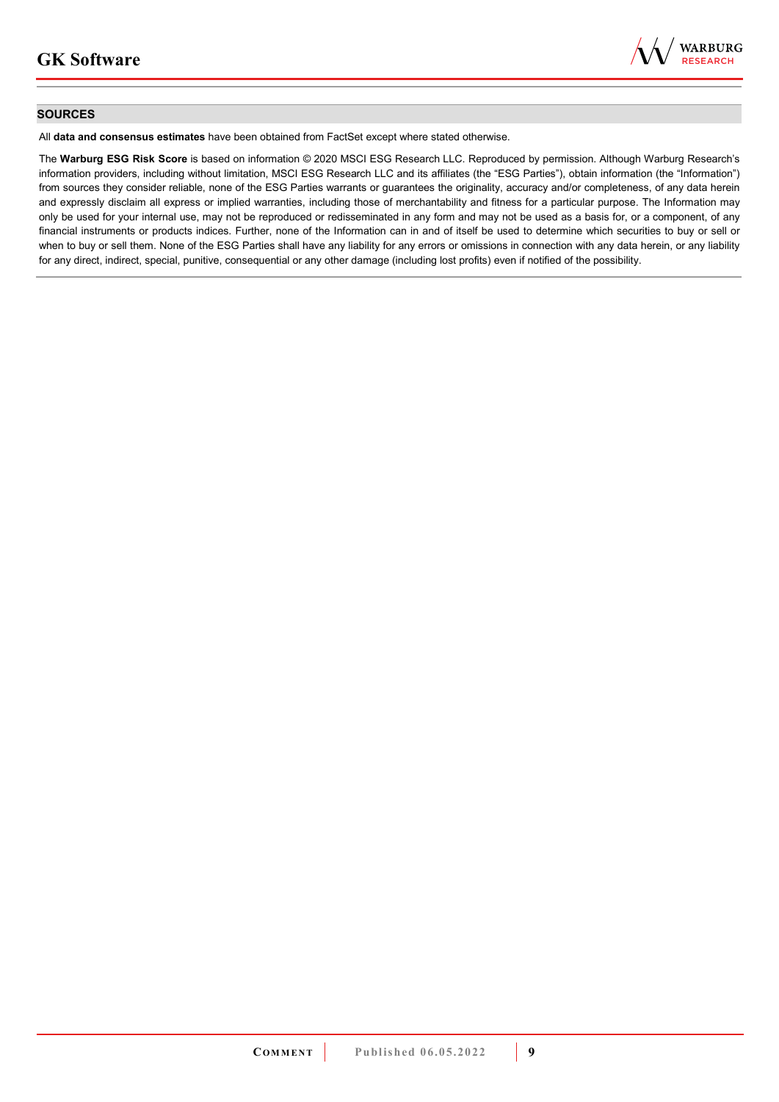

### **SOURCES**

All **data and consensus estimates** have been obtained from FactSet except where stated otherwise.

The **Warburg ESG Risk Score** is based on information © 2020 MSCI ESG Research LLC. Reproduced by permission. Although Warburg Research's information providers, including without limitation, MSCI ESG Research LLC and its affiliates (the "ESG Parties"), obtain information (the "Information") from sources they consider reliable, none of the ESG Parties warrants or guarantees the originality, accuracy and/or completeness, of any data herein and expressly disclaim all express or implied warranties, including those of merchantability and fitness for a particular purpose. The Information may only be used for your internal use, may not be reproduced or redisseminated in any form and may not be used as a basis for, or a component, of any financial instruments or products indices. Further, none of the Information can in and of itself be used to determine which securities to buy or sell or when to buy or sell them. None of the ESG Parties shall have any liability for any errors or omissions in connection with any data herein, or any liability for any direct, indirect, special, punitive, consequential or any other damage (including lost profits) even if notified of the possibility.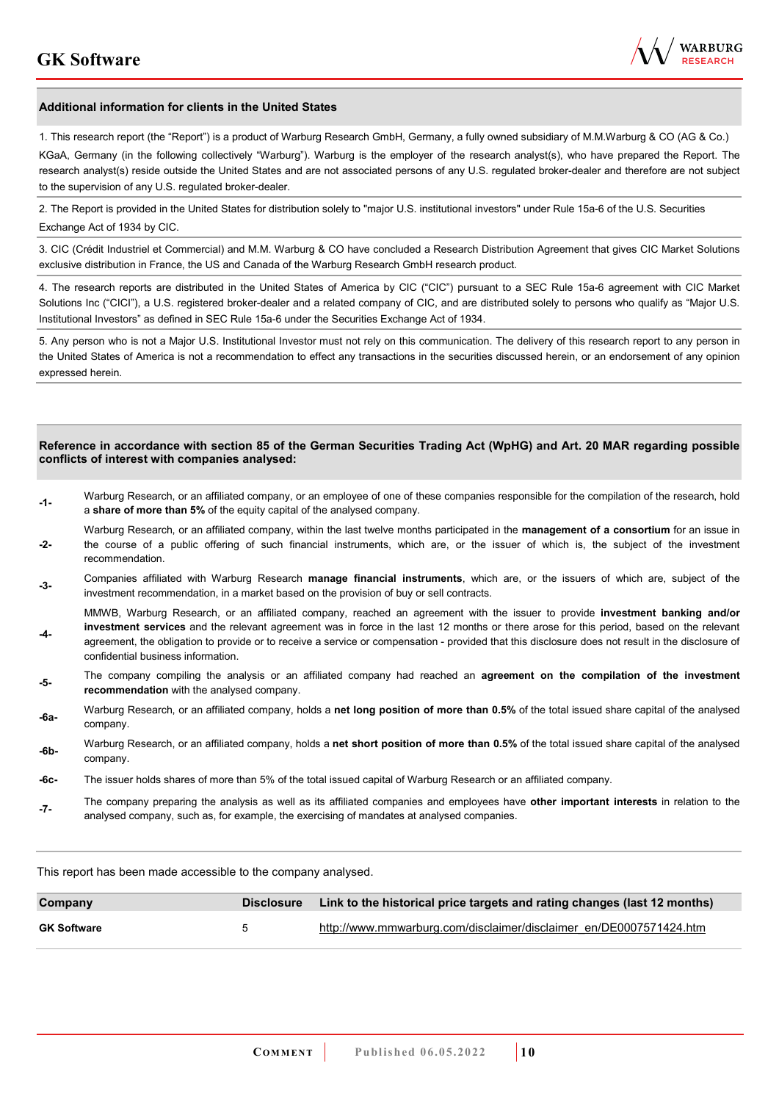

#### **Additional information for clients in the United States**

1. This research report (the "Report") is a product of Warburg Research GmbH, Germany, a fully owned subsidiary of M.M.Warburg & CO (AG & Co.)

KGaA, Germany (in the following collectively "Warburg"). Warburg is the employer of the research analyst(s), who have prepared the Report. The research analyst(s) reside outside the United States and are not associated persons of any U.S. regulated broker-dealer and therefore are not subject to the supervision of any U.S. regulated broker-dealer.

2. The Report is provided in the United States for distribution solely to "major U.S. institutional investors" under Rule 15a-6 of the U.S. Securities Exchange Act of 1934 by CIC.

3. CIC (Crédit Industriel et Commercial) and M.M. Warburg & CO have concluded a Research Distribution Agreement that gives CIC Market Solutions exclusive distribution in France, the US and Canada of the Warburg Research GmbH research product.

4. The research reports are distributed in the United States of America by CIC ("CIC") pursuant to a SEC Rule 15a-6 agreement with CIC Market Solutions Inc ("CICI"), a U.S. registered broker-dealer and a related company of CIC, and are distributed solely to persons who qualify as "Major U.S. Institutional Investors" as defined in SEC Rule 15a-6 under the Securities Exchange Act of 1934.

5. Any person who is not a Major U.S. Institutional Investor must not rely on this communication. The delivery of this research report to any person in the United States of America is not a recommendation to effect any transactions in the securities discussed herein, or an endorsement of any opinion expressed herein.

#### **Reference in accordance with section 85 of the German Securities Trading Act (WpHG) and Art. 20 MAR regarding possible conflicts of interest with companies analysed:**

- **-1-** Warburg Research, or an affiliated company, or an employee of one of these companies responsible for the compilation of the research, hold a **share of more than 5%** of the equity capital of the analysed company.
- **-2-**  Warburg Research, or an affiliated company, within the last twelve months participated in the **management of a consortium** for an issue in the course of a public offering of such financial instruments, which are, or the issuer of which is, the subject of the investment recommendation.
- **-3-** Companies affiliated with Warburg Research **manage financial instruments**, which are, or the issuers of which are, subject of the investment recommendation, in a market based on the provision of buy or sell contracts.

MMWB, Warburg Research, or an affiliated company, reached an agreement with the issuer to provide **investment banking and/or investment services** and the relevant agreement was in force in the last 12 months or there arose for this period, based on the relevant

- **-4**  agreement, the obligation to provide or to receive a service or compensation - provided that this disclosure does not result in the disclosure of confidential business information.
- **-5-** The company compiling the analysis or an affiliated company had reached an **agreement on the compilation of the investment recommendation** with the analysed company.
- **-6a-** Warburg Research, or an affiliated company, holds a **net long position of more than 0.5%** of the total issued share capital of the analysed company.
- **-6b-** Warburg Research, or an affiliated company, holds a **net short position of more than 0.5%** of the total issued share capital of the analysed company.
- **-6c-** The issuer holds shares of more than 5% of the total issued capital of Warburg Research or an affiliated company.
- **-7-** The company preparing the analysis as well as its affiliated companies and employees have **other important interests** in relation to the analysed company, such as, for example, the exercising of mandates at analysed companies.

This report has been made accessible to the company analysed.

| Company            | <b>Disclosure</b>    | Link to the historical price targets and rating changes (last 12 months) |
|--------------------|----------------------|--------------------------------------------------------------------------|
| <b>GK Software</b> | $\ddot{\phantom{1}}$ | http://www.mmwarburg.com/disclaimer/disclaimer_en/DE0007571424.htm       |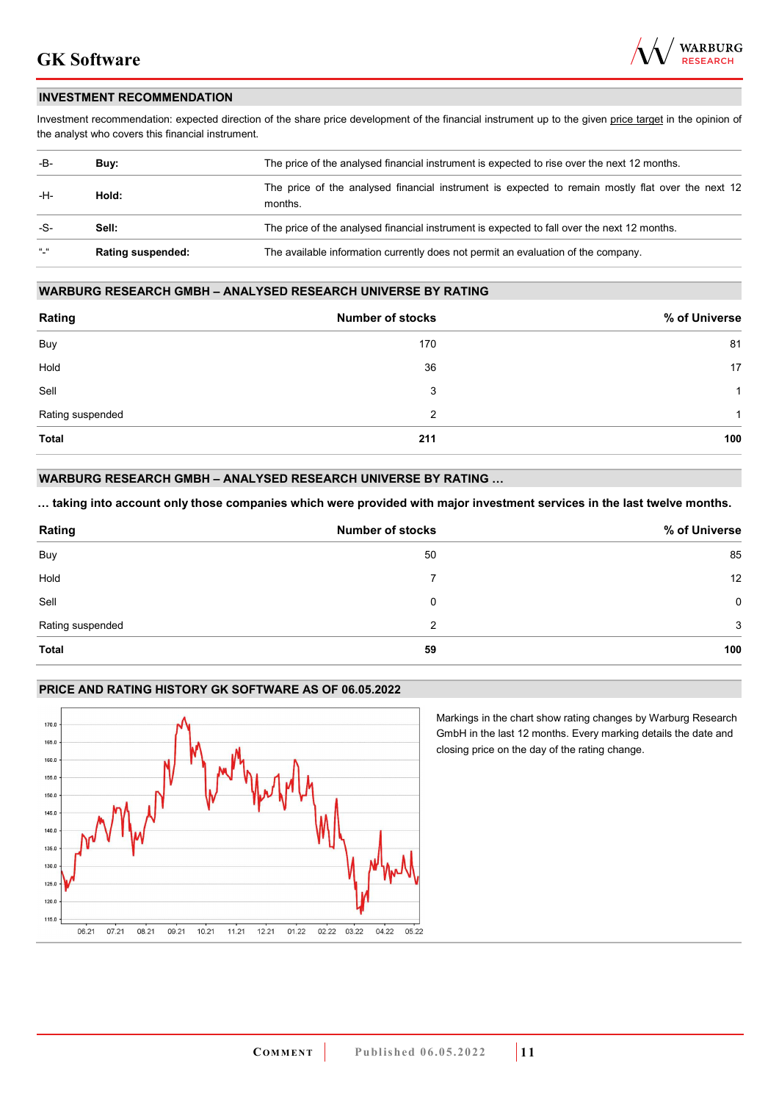

### **INVESTMENT RECOMMENDATION**

Investment recommendation: expected direction of the share price development of the financial instrument up to the given price target in the opinion of the analyst who covers this financial instrument.

| -B-           | Buy:                     | The price of the analysed financial instrument is expected to rise over the next 12 months.                  |  |
|---------------|--------------------------|--------------------------------------------------------------------------------------------------------------|--|
| -H-<br>Hold:  |                          | The price of the analysed financial instrument is expected to remain mostly flat over the next 12<br>months. |  |
| -S-           | Sell:                    | The price of the analysed financial instrument is expected to fall over the next 12 months.                  |  |
| $\frac{1}{2}$ | <b>Rating suspended:</b> | The available information currently does not permit an evaluation of the company.                            |  |

### **WARBURG RESEARCH GMBH – ANALYSED RESEARCH UNIVERSE BY RATING**

| Rating           | <b>Number of stocks</b> | % of Universe |
|------------------|-------------------------|---------------|
| Buy              | 170                     | 81            |
| Hold             | 36                      | 17            |
| Sell             | 3                       | -1            |
| Rating suspended | 2                       | 1             |
| <b>Total</b>     | 211                     | 100           |

### **WARBURG RESEARCH GMBH – ANALYSED RESEARCH UNIVERSE BY RATING …**

**… taking into account only those companies which were provided with major investment services in the last twelve months.** 

| Rating           | <b>Number of stocks</b> | % of Universe |
|------------------|-------------------------|---------------|
| Buy              | 50                      | 85            |
| Hold             |                         | 12            |
| Sell             | 0                       | 0             |
| Rating suspended | 2                       | 3             |
| <b>Total</b>     | 59                      | 100           |

### **PRICE AND RATING HISTORY GK SOFTWARE AS OF 06.05.2022**



Markings in the chart show rating changes by Warburg Research GmbH in the last 12 months. Every marking details the date and closing price on the day of the rating change.